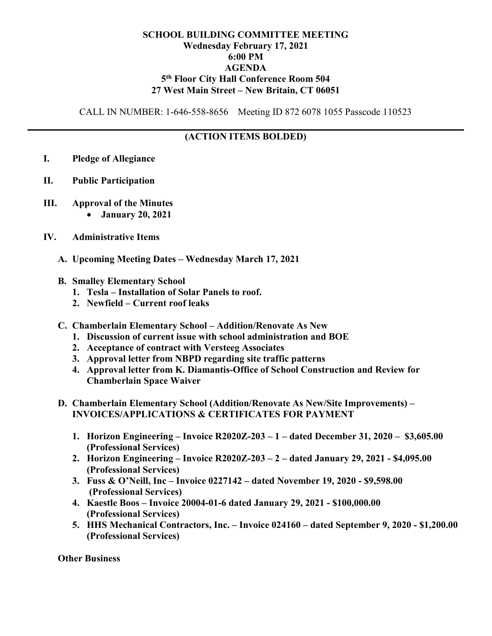## SCHOOL BUILDING COMMITTEE MEETING Wednesday February 17, 2021 6:00 PM AGENDA 5 th Floor City Hall Conference Room 504 27 West Main Street – New Britain, CT 06051

CALL IN NUMBER: 1-646-558-8656 Meeting ID 872 6078 1055 Passcode 110523

## (ACTION ITEMS BOLDED)

- I. Pledge of Allegiance
- II. Public Participation
- III. Approval of the Minutes January 20, 2021
- IV. Administrative Items
	- A. Upcoming Meeting Dates Wednesday March 17, 2021
	- B. Smalley Elementary School
		- 1. Tesla Installation of Solar Panels to roof.
		- 2. Newfield Current roof leaks
	- C. Chamberlain Elementary School Addition/Renovate As New
		- 1. Discussion of current issue with school administration and BOE
		- 2. Acceptance of contract with Versteeg Associates
		- 3. Approval letter from NBPD regarding site traffic patterns
		- 4. Approval letter from K. Diamantis-Office of School Construction and Review for Chamberlain Space Waiver
	- D. Chamberlain Elementary School (Addition/Renovate As New/Site Improvements) INVOICES/APPLICATIONS & CERTIFICATES FOR PAYMENT
		- 1. Horizon Engineering Invoice R2020Z-203 1 dated December 31, 2020 \$3,605.00 (Professional Services)
		- 2. Horizon Engineering Invoice R2020Z-203 2 dated January 29, 2021 \$4,095.00 (Professional Services)
		- 3. Fuss & O'Neill, Inc Invoice 0227142 dated November 19, 2020 \$9,598.00 (Professional Services)
		- 4. Kaestle Boos Invoice 20004-01-6 dated January 29, 2021 \$100,000.00 (Professional Services)
		- 5. HHS Mechanical Contractors, Inc. Invoice 024160 dated September 9, 2020 \$1,200.00 (Professional Services)

**Other Business**